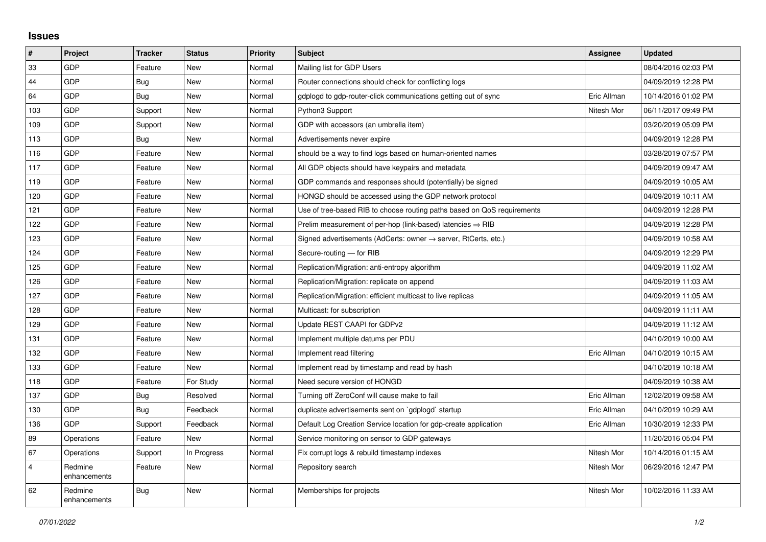## **Issues**

| #              | Project                 | <b>Tracker</b> | <b>Status</b> | <b>Priority</b> | <b>Subject</b>                                                             | <b>Assignee</b> | <b>Updated</b>      |
|----------------|-------------------------|----------------|---------------|-----------------|----------------------------------------------------------------------------|-----------------|---------------------|
| 33             | GDP                     | Feature        | <b>New</b>    | Normal          | Mailing list for GDP Users                                                 |                 | 08/04/2016 02:03 PM |
| 44             | GDP                     | <b>Bug</b>     | <b>New</b>    | Normal          | Router connections should check for conflicting logs                       |                 | 04/09/2019 12:28 PM |
| 64             | GDP                     | Bug            | <b>New</b>    | Normal          | gdplogd to gdp-router-click communications getting out of sync             | Eric Allman     | 10/14/2016 01:02 PM |
| 103            | GDP                     | Support        | <b>New</b>    | Normal          | Python3 Support                                                            | Nitesh Mor      | 06/11/2017 09:49 PM |
| 109            | GDP                     | Support        | <b>New</b>    | Normal          | GDP with accessors (an umbrella item)                                      |                 | 03/20/2019 05:09 PM |
| 113            | GDP                     | <b>Bug</b>     | <b>New</b>    | Normal          | Advertisements never expire                                                |                 | 04/09/2019 12:28 PM |
| 116            | GDP                     | Feature        | <b>New</b>    | Normal          | should be a way to find logs based on human-oriented names                 |                 | 03/28/2019 07:57 PM |
| 117            | GDP                     | Feature        | <b>New</b>    | Normal          | All GDP objects should have keypairs and metadata                          |                 | 04/09/2019 09:47 AM |
| 119            | GDP                     | Feature        | New           | Normal          | GDP commands and responses should (potentially) be signed                  |                 | 04/09/2019 10:05 AM |
| 120            | GDP                     | Feature        | <b>New</b>    | Normal          | HONGD should be accessed using the GDP network protocol                    |                 | 04/09/2019 10:11 AM |
| 121            | GDP                     | Feature        | <b>New</b>    | Normal          | Use of tree-based RIB to choose routing paths based on QoS requirements    |                 | 04/09/2019 12:28 PM |
| 122            | GDP                     | Feature        | New           | Normal          | Prelim measurement of per-hop (link-based) latencies $\Rightarrow$ RIB     |                 | 04/09/2019 12:28 PM |
| 123            | GDP                     | Feature        | <b>New</b>    | Normal          | Signed advertisements (AdCerts: owner $\rightarrow$ server, RtCerts, etc.) |                 | 04/09/2019 10:58 AM |
| 124            | GDP                     | Feature        | New           | Normal          | Secure-routing - for RIB                                                   |                 | 04/09/2019 12:29 PM |
| 125            | GDP                     | Feature        | <b>New</b>    | Normal          | Replication/Migration: anti-entropy algorithm                              |                 | 04/09/2019 11:02 AM |
| 126            | GDP                     | Feature        | <b>New</b>    | Normal          | Replication/Migration: replicate on append                                 |                 | 04/09/2019 11:03 AM |
| 127            | GDP                     | Feature        | <b>New</b>    | Normal          | Replication/Migration: efficient multicast to live replicas                |                 | 04/09/2019 11:05 AM |
| 128            | GDP                     | Feature        | New           | Normal          | Multicast: for subscription                                                |                 | 04/09/2019 11:11 AM |
| 129            | GDP                     | Feature        | <b>New</b>    | Normal          | Update REST CAAPI for GDPv2                                                |                 | 04/09/2019 11:12 AM |
| 131            | GDP                     | Feature        | <b>New</b>    | Normal          | Implement multiple datums per PDU                                          |                 | 04/10/2019 10:00 AM |
| 132            | GDP                     | Feature        | New           | Normal          | Implement read filtering                                                   | Eric Allman     | 04/10/2019 10:15 AM |
| 133            | GDP                     | Feature        | <b>New</b>    | Normal          | Implement read by timestamp and read by hash                               |                 | 04/10/2019 10:18 AM |
| 118            | GDP                     | Feature        | For Study     | Normal          | Need secure version of HONGD                                               |                 | 04/09/2019 10:38 AM |
| 137            | GDP                     | Bug            | Resolved      | Normal          | Turning off ZeroConf will cause make to fail                               | Eric Allman     | 12/02/2019 09:58 AM |
| 130            | GDP                     | <b>Bug</b>     | Feedback      | Normal          | duplicate advertisements sent on `gdplogd` startup                         | Eric Allman     | 04/10/2019 10:29 AM |
| 136            | GDP                     | Support        | Feedback      | Normal          | Default Log Creation Service location for gdp-create application           | Eric Allman     | 10/30/2019 12:33 PM |
| 89             | Operations              | Feature        | <b>New</b>    | Normal          | Service monitoring on sensor to GDP gateways                               |                 | 11/20/2016 05:04 PM |
| 67             | Operations              | Support        | In Progress   | Normal          | Fix corrupt logs & rebuild timestamp indexes                               | Nitesh Mor      | 10/14/2016 01:15 AM |
| $\overline{4}$ | Redmine<br>enhancements | Feature        | <b>New</b>    | Normal          | Repository search                                                          | Nitesh Mor      | 06/29/2016 12:47 PM |
| 62             | Redmine<br>enhancements | <b>Bug</b>     | <b>New</b>    | Normal          | Memberships for projects                                                   | Nitesh Mor      | 10/02/2016 11:33 AM |